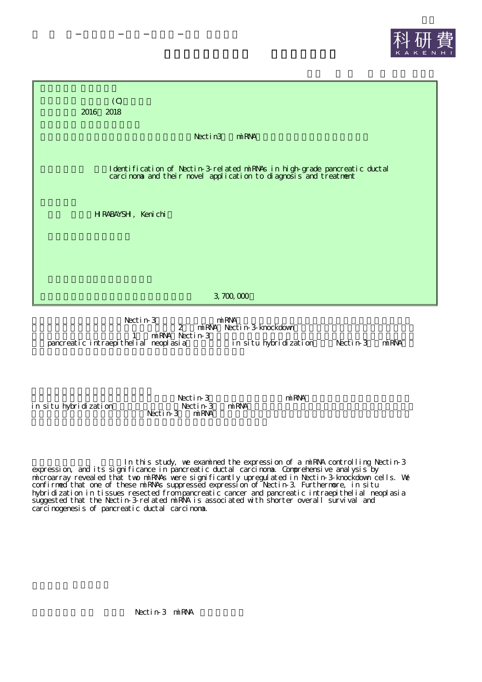



Nectin-3 miRNA<br>2 miRNA Nect 2 miRNA Nectin-3-knockdown 1 miRNA Nectin-3 pancreatic intraepithelial neoplasia in situ hybridization Nectin-3 miRNA

Nectin-3 miRNA in situ hybridization Nectin-3 miRNA Nectin- $3<sup>1</sup>$ 

In this study, we examined the expression of a miRNA controlling Nectin-3 expression, and its significance in pancreatic ductal carcinoma. Comprehensive analysis by microarray revealed that two miRNAs were significantly upregulated in Nectin-3-knockdown cells. We confirmed that one of these miRNAs suppressed expression of Nectin-3. Furthermore, in situ hybridization in tissues resected from pancreatic cancer and pancreatic intraepithelial neoplasia suggested that the Nectin-3-related miRNA is associated with shorter overall survival and carcinogenesis of pancreatic ductal carcinoma.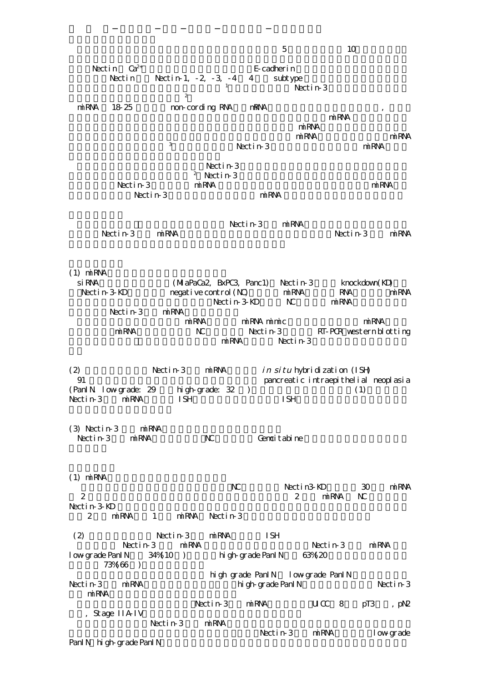Nectin Ca<sup>2+</sup> E-cadherin Nectin Nectin-1,  $-2$ ,  $-3$ ,  $-4$ ,  $-4$  subtype Nectin-3  $\overline{2}$ miRNA 18-25 non-cording RNA mRNA miRNA miRNA miRNA miRNA 3 Nectin-3 miRNA Nectin<sub>3</sub> <sup>2</sup> Nectin-3 Nectin-3 miRNA miRNA Nectin-3 miRNA Nectin-3 miRNA Nectin-3 miRNA Nectin-3 miRNA (1) miRNA siRNA (MiaPaCa2, BxPC3, Panc1) Nectin-3 knockdown(KD) Nectin-3-KD negative control(NC) miRNA RNA miRNA Nectin-3-KD NC miRNA Nectin-3 miRNA miRNA minimic miRNA minimic miRNA NC Nectin-3 RT-PCR western blotting miRNA Nectin-3 (2) Nectin-3 miRNA in situ hybridization (ISH) 91 pancreatic intraepithelial neoplasia (PanIN. low-grade: 29 high-grade: 32 ) (1) (PanIN low-grade: 29 high-grade: 32)<br>Nectin-3 miRNA ISH ISH (3) Nectin-3 miRNA Nectin-3 miRNA NC Gemuitabine (1) miRNA NC Nectin3-KD 30 miRNA 2 miRNA NC Nectin-3-KD 2 miRNA 1 miRNA Nectin-3 (2) Nectin-3 miRNA ISH Nectin-3 miRNA Nectin-3 miRNA  $l$ ow grade PanIN  $34\%$  10 ) high-grade PanIN 63%(20 73%(66 ) high grade PanIN low-grade PanIN Nectin-3 miRNA high-grade PanIN Nectin-3 miRNA Nectin-3 miRNA UCC 8 pT3 , pN2 , Stage IIAIV Nectin-3 miRNA Nectin-3 miRNA low-grade PanIN high-grade PanIN

5 10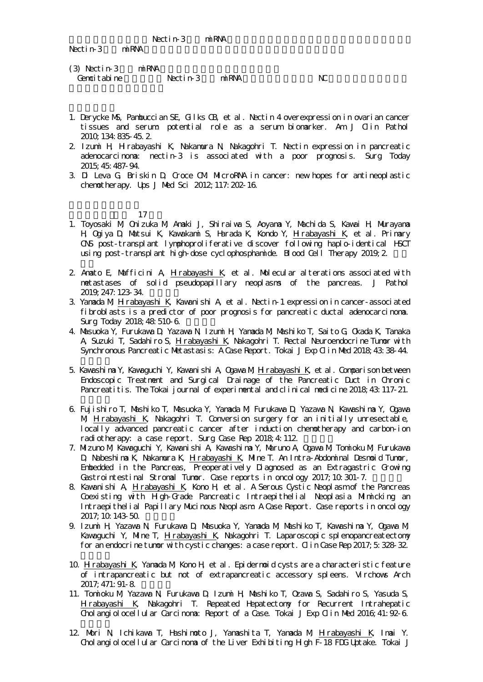Nectin-3 miRNA Nectin-3 miRNA

(3) Nectin-3 miRNA Genoritabine Nectin-3 miRNA NC

- 1. Derycke MS, Pambuccian SE, Gilks CB, et al. Nectin 4 overexpression in ovarian cancer tissues and serum: potential role as a serum biomarker. Am J Clin Pathol 2010;134:835-45.2.
- 2. Izumi H, Hirabayashi K, Nakamura N, Nakagohri T. Nectin expression in pancreatic adenocarcinoma: nectin-3 is associated with a poor prognosis. Surg Today 2015;45:487-94.
- 3. Di Leva G, Briskin D, Croce CM. MicroRNA in cancer: new hopes for antineoplastic chemotherapy. Ups J Med Sci 2012;117:202-16.

17

- 1. Toyosaki M, Onizuka M, Amaki J, Shiraiwa S, Aoyama Y, Machida S, Kawai H, Murayama H, Ogiya D, Matsui K, Kawakami S, Harada K, Kondo Y, Hirabayashi K, et al. Primary CNS post-transplant lymphoproliferative discover following haplo-identical HSCT using post-transplant high-dose cyclophosphamide. Blood Cell Therapy 2019;2.
- 2. Amato E, Mafficini A, Hirabayashi K, et al. Molecular alterations associated with metastases of solid pseudopapillary neoplasms of the pancreas. J Pathol 2019;247:123-34.
- 3. Yamada M, Hirabayashi K, Kawanishi A, et al. Nectin-1 expression in cancer-associated fibroblasts is a predictor of poor prognosis for pancreatic ductal adenocarcinoma. Surg Today 2018;48:510-6.
- 4. Masuoka Y, Furukawa D, Yazawa N, Izumi H, Yamada M, Mashiko T, Saito G, Okada K, Tanaka A, Suzuki T, Sadahiro S, Hrabayashi K, Nakagohri T. Rectal Neuroendocrine Tumor with Synchronous Pancreatic Metastasis: A Case Report. Tokai J Exp Clin Med 2018;43:38-44.
- 5. Kawashima Y, Kawaguchi Y, Kawanishi A, Ogawa M, Hirabayashi K, et al. Comparison between Endoscopic Treatment and Surgical Drainage of the Pancreatic Duct in Chronic Pancreatitis. The Tokai journal of experimental and clinical medicine 2018;43:117-21.
- 6. Fujishiro T, Mashiko T, Masuoka Y, Yamada M, Furukawa D, Yazawa N, Kawashima Y, Ogawa M, Hirabayashi K, Nakagohri T. Conversion surgery for an initially unresectable, locally advanced pancreatic cancer after induction chemotherapy and carbon-ion radiotherapy: a case report. Surg Case Rep 2018; 4:112.
- 7. Mizuno M, Kawaguchi Y, Kawanishi A, Kawashima Y, Maruno A, Ogawa M, Tomioku M, Furukawa D, Nabeshima K, Nakamura K, Hirabayashi K, Mine T. An Intra-Abdominal Desmoid Tumor, Embedded in the Pancreas, Preoperatively Diagnosed as an Extragastric Growing Gastrointestinal Stromal Tumor. Case reports in oncology 2017;10:301-7.
- 8. Kawanishi A, Hirabayashi K, Kono H, et al. A Serous Cystic Neoplasm of the Pancreas Coexisting with High-Grade Pancreatic Intraepithelial Neoplasia Mimicking an Intraepithelial Papillary Mucinous Neoplasm: A Case Report. Case reports in oncology 2017;10:143-50.
- 9. Izumi H, Yazawa N, Furukawa D, Masuoka Y, Yamada M, Mashiko T, Kawashima Y, Ogawa M, Kawaguchi Y, Mine T, Hirabayashi K, Nakagohri T. Laparoscopic splenopancreatectomy for an endocrine tumor with cystic changes: a case report. Clin Case Rep 2017; 5:328-32.
- 10. Hirabayashi K, Yamada M, Kono H, et al. Epidermoid cysts are a characteristic feature of intrapancreatic but not of extrapancreatic accessory spleens. Virchows Arch 2017;471:91-8.
- 11. Tomioku M, Yazawa N, Furukawa D, Izumi H, Mashiko T, Ozawa S, Sadahiro S, Yasuda S, Hirabayashi K, Nakagohri T. Repeated Hepatectomy for Recurrent Intrahepatic Cholangiolocellular Carcinoma: Report of a Case. Tokai J Exp Clin Med 2016;41:92-6.
- 12. Mori N, Ichikawa T, Hashimoto J, Yamashita T, Yamada M, <u>Hrabayashi K,</u> Imai Y. Cholangiolocellular Carcinoma of the Liver Exhibiting High F-18 FDG Uptake. Tokai J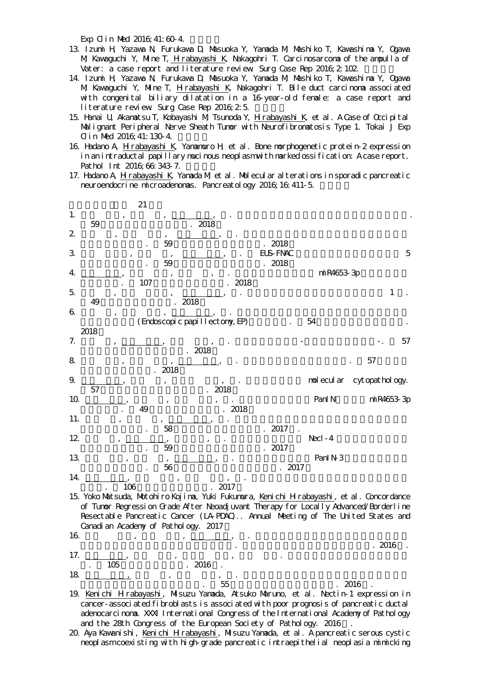Exp Clin Med 2016; 41: 60-4.

- 13. Izumi H, Yazawa N, Furukawa D, Masuoka Y, Yamada M, Mashiko T, Kawashima Y, Ogawa M, Kawaguchi Y, Mine T, Hirabayashi K, Nakagohri T. Carcinosarcoma of the ampulla of Vater: a case report and literature review. Surg Case Rep 2016; 2:102.
- 14. Izumi H, Yazawa N, Furukawa D, Masuoka Y, Yamada M, Mashiko T, Kawashima Y, Ogawa M, Kawaguchi Y, Mine T, Hirabayashi K, Nakagohri T. Bile duct carcinoma associated with congenital biliary dilatation in a 16-year-old female: a case report and literature review. Surg Case Rep 2016;2:5.
- 15. Hanai U, Akamatsu T, Kobayashi M, Tsunoda Y, Hirabayashi K, et al. A Case of Occipital Malignant Peripheral Nerve Sheath Tumor with Neurofibromatosis Type 1. Tokai J Exp Clin Med 2016;41:130-4.
- 16. Hadano A, Hirabayashi K, Yamamuro H, et al. Bone morphogenetic protein-2 expression in an intraductal papillary mucinous neoplasm with marked ossification: A case report. Pathol Int 2016;66:343-7.
- 17. Hadano A, Hirabayashi K, Yamada M, et al. Molecular alterations in sporadic pancreatic neuroendocrine microadenomas. Pancreatology 2016;16:411-5.



and the 28th Congress of the European Society of Pathology. 2016 . 20. Aya Kawanishi, Kenichi Hirabayashi, Misuzu Yanada, et al. A pancreatic serous cystic neoplasm coexisting with high-grade pancreatic intraepithelial neoplasia mimicking